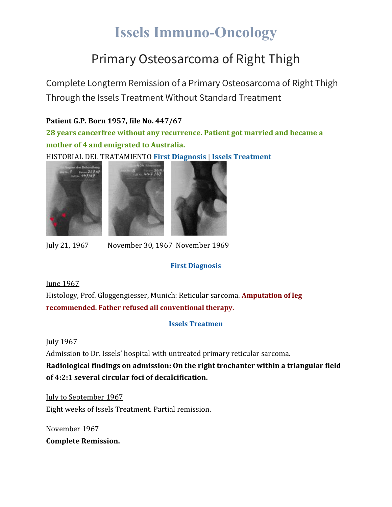# **Issels Immuno-Oncology**

## Primary Osteosarcoma of Right Thigh

Complete Longterm Remission of a Primary Osteosarcoma of Right Thigh Through the Issels Treatment Without Standard Treatment

### **Patient G.P. Born 1957, file No. 447/67**

**28 years cancerfree without any recurrence. Patient got married and became a mother of 4 and emigrated to Australia.**

HISTORIAL DEL TRATAMIENTO **First [Diagnosis](https://issels.com/cancer-cases/osteosarcoma-1-primary-osteosarcoma-right-thigh/#First)** | **Issels [Treatment](https://issels.com/cancer-cases/osteosarcoma-1-primary-osteosarcoma-right-thigh/#Issels)**







July 21, 1967 November 30, 1967 November 1969

### **First Diagnosis**

#### June 1967

Histology, Prof. Gloggengiesser, Munich: Reticular sarcoma. **Amputation of leg recommended. Father refused all conventional therapy.**

#### **Issels Treatmen**

#### July 1967

Admission to Dr. Issels' hospital with untreated primary reticular sarcoma.

**Radiological findings on admission: On the right trochanter within a triangular field of 4:2:1 several circular foci of decalcification.**

July to September 1967 Eight weeks of Issels Treatment. Partial remission.

November 1967 **Complete Remission.**